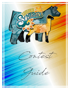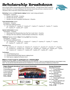### Scholarship Breakdown

Each contests yields a total possible points awarded of 20 points. The Skill Classes yield a maximum total of 100 points. For those qualifying for the interview round, they will have a maximum total of 120 points. Here is how each contest breaks down in points:



#### **Marketing** Contest and **Multi-Species Judging** Contest– open to ALL participants

Participation – 10 points;

- $\checkmark$  Placing in the Top Half 15 points;
- $\checkmark$  Placing in the Top 10 18 points;
- $\checkmark$  Placing in the Top 2 (Champion and Reserve) 20 points.

#### **Team Herdsmanship** Contest

Participation – 10 points;

Top 10 Receives additional Points:

 $\checkmark$  1st – 10 points, 2<sup>nd</sup> – 9 points, 3<sup>rd</sup> – 8 points, 4<sup>th</sup> – 7 points, 5<sup>th</sup> – 6 points, 6<sup>th</sup> – 5 points, 7<sup>th</sup> – 4 points,  $8<sup>th</sup> - 3$  points,  $9<sup>th</sup> - 2$  points,  $10<sup>th</sup> - 1$  point

#### **Species Conformation** Contest

Participation – 10 points;

- $\checkmark$  Advancing to the Championship class (Top Two in each class) 15 points;
- $\checkmark$  Placing in the Top 2 (division / breed Champion and Reserve) 20 points.

#### **'Additional'** Species Contest: *Sheep* Trimming, *Beef* Team Grooming

Participation – 10 points;

Top 10 Receives additional Points:

 $\checkmark$  1st – 10 points, 2<sup>nd</sup> – 9 points, 3<sup>rd</sup> – 8 points, 4<sup>th</sup> – 7 points, 5<sup>th</sup> – 6 points, 6<sup>th</sup> – 5 points, 7<sup>th</sup> – 4 points,  $8<sup>th</sup> - 3$  points,  $9<sup>th</sup> - 2$  points,  $10<sup>th</sup> - 1$  point

#### **Interview** phase

 $\checkmark$  1st – 20 points, 2<sup>nd</sup> – 19 points, 3<sup>rd</sup> – 18 points, 4<sup>th</sup> – 17 points, 5<sup>th</sup> – 16 points, 6<sup>th</sup> – 15 points, 7<sup>th</sup> – 14 points,  $8^{th}$  – 13 points, 9<sup>th</sup> – 12 points, 10<sup>th</sup> – 11 points, 11<sup>th</sup> – 10 points, 12<sup>th</sup> – 9 points, 13<sup>th</sup> – 8 points, 14<sup>th</sup> – 7 points,  $15<sup>th</sup> - 6$  points,  $16<sup>th</sup> - 5$  points,  $17<sup>th</sup> - 4$  points,  $18<sup>th</sup> - 3$  points,  $19<sup>th</sup> - 2$  points,  $20<sup>th</sup> - 1$  point

#### **Tie-Breakers**

- 1) Overall Marketing Score
- 2) Combined Marketing & Multi Species Judging Scores
- 3) Multi Species Judging Oral Reasons Score

### *What if I don't want to participate for a Scholarship?*

Synergy is still an opportunity for you to be as involved and busy as you want to be. There is no requirement that that you must compete in every event. You can pick and choose the elements that are of interest to you. You truly can be as busy or relaxed as you chose to be!

#### **Calgary Stampede International Youth Livestock Scholarships:**

6 Juniors @ \$500 15 Intermediates @ \$1000 10 Seniors @ \$1000 5 Seniors @ \$2000 4 Seniors @ \$3000 **TOTAL: \$50,000** \$57,500**Calgary Stampede** 

#### **Synergy Scholarships:**

Alberta Beef Producers:  $\checkmark$  2 Juniors @ \$500each Gary D. Smith Memorial:  $\checkmark$  1 Senior @ \$1000 Ellis Edge Memorial:  $\checkmark$  1 Senior @ \$1000 Leadership Scholarships:  $\checkmark$  2 Seniors @ \$1000 each KFC Farms Trades:  $\checkmark$  2 Seniors @ \$1000 each Olds College Recruitment:  $\checkmark$  1 Senior Draw @ \$500 **TOTAL: \$7,500**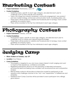# Marketing Contest

• **Project Submission:** Wednesday, June 15th



- **Contest Guidelines**
	- o Marketing topics, specific to each age category, are selected each year to challenge youth to think critically and creatively
	- o Topics can range from industry awareness, community engagement, new product and new market strategy, enhanced communication tactic, fundraising ideas, etc.
	- o These topics will be posted on website and Facebook prior to Synergy; more contest guidelines accompany topics
	- o Prizes will be awarded to the Top Two individuals in each age category

# Photography Contest

- **Project Submission: Tuesday, June 28th**
- **Contest Guidelines**
	- o Photography topics, specific to each age category, are selected each year to challenge youth to create and capture impactful images
	- o These topics will be posted on website and Facebook prior to Synergy; more contest guidelines accompany topics
	- o Prizes will be awarded to the Top Two individuals in each age category

# Judging Camp

- **When: 8:30am on Tuesday, July 12th**
- **Location:** Cow Palace
- **Camp Guidelines**
	- o This program is targeted to you who have a keen interest in Multi Judging and want to improve their experience, confidence and ability
	- o Registered participants will focus on the mechanics of elevated oral reasons, picturing the ideal and feeling more confident with recall practices and comparative analysis
	- o Beef & Sheep workouts will provide an interactive model for participants to ask questions and challenge coaches to the "why" and "explanation" of differences and **similarities**
	- o Feedback from Camp Coaches will be provided to each participant who willingly gives reasons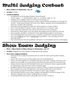# Multi Judging Contest

- **When: 8:00am on Wednesday, July 13th**
- **Location:** Pavilion



- **Contest Guidelines**
	- o All registered 4-H & Synergy Exhibitors will participate
	- o Juniors: ages 9 11; Intermediate: ages 12 14; Senior: ages 15 20
	- o Critiques are available online at www.summersynergy.ca
	- o Contestants are divided into groups where a group leader will guide you through the contest. These group leaders are more than willing, capable and knowledgeable to assist any contests with questions
	- o All classes will be judged one after the other based on a timed rotation
	- o Each card identifies contestant name, class and if it is a "reasons" class
	- o Once cards are collected, they will not be returned to the contestant
	- o Oral reasons will be given once all classes are judged and excused from the ring
	- o Group leaders will direct contestants to the appropriate judge for oral reasons
	- o Once all designated oral reasons are complete, contestants may leave the ring
	- o Any and all talking and use of cell phones is prohibited one warning and then disqualification
	- o Any and all abuse of event guidelines will result in an immediate zero for multi judging

## Show Team Judging

- **When: 1:00pm (Beef) & 2:00pm (Sheep) on Wednesday, July 13th**
- **Location:** MegaDome Arena (Beef) & Infield Showring (Sheep)
- **Show Team Judging Guidelines**
	- o Participants have selected partners prior to event for team posting early Tuesday morning
	- o Teams will consist of one Acting Judge and one Acting Ringman
	- o Teams will work together to complete: placing of the class, working of the ring, oral reasons to the public on a microphone and removing the class from the show ring.
	- o Classes will be close but NOT be identical for each contestant team; approximately 4-5 animals per class and may not be consistent ages
	- o Qualified officials will recognize the inconsistent nature of classes focusing more on the complete show ring management and quality justification of oral reasons
	- o Prizes will be awarded to the Top Two teams in each age category
	- o Top three Beef teams in each age category will represent Summer Synergy at the Western Canadian Show Team Judging Finals in August
	- o Junior Beef Breed Associations will qualify from the Top 1/3 teams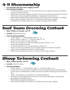### 4-H Showmanship

- **In conjunction with Show Team Judging Contests**
- **Showmanship Guidelines**
	- o 4-H Showmanship will occur at the same time as STJ so abide by heats and rotations and be on time for classes
	- o Official Showmanship Judge(s) will inform Announcer of those advancing to the Semi-Finals; those Advancing will be identified on designated results boards
	- o Semi-Finals and Finals will be determined by the Judge and announced accordingly
	- o Prizes will be awarded to the Top Two individuals in each age category
	- o 4-H Beef Showmanship finalists do not qualify for Master Showmanship

### Beef Team Grooming Contest

• **When: 9:00am on Thursday, July 14th** 

**Location:** MegaDome Arena



- o Juniors: ages  $9 11$ ; Intermediate: ages  $12 14$
- o Senior: Division II ages 15 17; Division I ages 18 20
- o Access to one power unit per individual
- o Chute set-up based on number of individuals per heat (ie: 8 10)
- o Heats will be posted Tuesday
- o 15 minutes timeframe for 'full' grooming by Teams of 3
- o Teams can pick your partners; we can assign partners for those that require
- o Judge score participants based on a points system
- o Prizes will be awarded to the Top Two Teams in each age category

### Sheep Trimming Contest

- **When: 9:00am Thursday, July 14th**
- **Location:** Infield Showring



- o Juniors: ages  $9 11$ ; Intermediate: ages  $12 14$ ; Senior: ages  $15 21$
- o A lamb which has never been washed or trimmed will be provided for participants. Lambs are to be distributed at random and all competitors will be given 45 minutes to trim.
- o Juniors, Intermediates, and Seniors to compete separately
- o No Products will be allowed in this class. It is a dry class, meaning no water either
- o Be prepared for Feedlot Lambs
- o Please bring appropriate equipment
- o Prizes will be awarded to the Top Two individuals in each age category



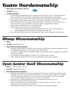# Team Herdsmanship

- **When: 2pm on Thursday, July 14th**
- **Location:** Pavilion



- **Contest Guidelines**
	- o Teams are pre-determined and consisting of at least one Junior, Intermediate and Senior member with both Beef and Sheep species participation represented
	- o Each Team will be posted with a start time and encouraged to meet prior to contest
	- o Immediately prior to their posted time, each team will take a team photo
	- o Each team will rotate through a series of 10 stations that focus on farm and ranch tasks that they must accomplish as a team within an identified time limit
	- o Each station is facilitated by a volunteer leader
	- o Station topics may include, but not limited to:
		- Farm safety exercises, animal husbandry practices, farm record keeping, seed/forage/tool identification, strategic planning, etc.
	- o Points are allocated by level of participation, team work, interaction with leader

### Sheep Showmanship

- **When:**
- **Location:** Infield Showring
- **Sheep Showmanship Guidelines**
	- o Members will compete using their own animal, provided the animal is registered for the 4-H Alberta Sheep Show or the Open Junior Sheep Show
	- o A member entering the show without either a ewe animal may be supplied with a lamb by the committee
	- o 4-H members will be judged throughout the conformation classes
	- o Prizes will be awarded to the Top Two individuals in each age category

### Open Junior Beef Showmanship

- **When: 11:00am Friday, July 15th**
- **Location:** MegaDome Arena
- **Beef Showmanship Guidelines**
	- o Exhibitors must qualify to the Showmanship Semi Finals based on their Conformation classes
	- o If qualified with more than one animal, exhibitors can choose which of their own animals to take into semifinals*;* all exhibitors must show their own single animal in their showmanship class, semifinals and/or finals and must not switch for any reason
	- o Non-livestock competing participants may be designated an animal to show
	- o Beef Showmanship is NOT a dry brush show
	- o Junior Champion & Reserve, Intermediate Champion & Reserve, Senior Div I & Div II Champions qualify to Master Showmanship
	- o Prizes will be awarded to the Top Two individuals in each age category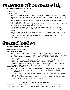# Master Showmanship

- **When: 12:00pm on Saturday, July 16th**
- **Location:** MegaDome Arena
- **Contest Guidelines**
	- o Each Junior, Intermediate and Senior Champion and Reserve Showman from Beef & Sheep will qualify for Master Showmanship; For Beef, it is the Div I & Div II Champions only
	- o Each Champion and Reserve will come to the Showring with their respective showmanship animal
	- o There will be three small show rings that will work showmen with respective techniques relative to each species: Beef, Sheep & Mystery
	- o Each species group will have 10 minutes to show beef, sheep and third class
	- o Handlers will be available to hold so that showmen can move from one ring to another
	- o One judge will remain in each showring to rank showmen from top to bottom based on showmen's talent and ability
	- o Rankings will be tallied and one (1) Master Showman will prevail for each Junior, Intermediate and Senior

## Grand Drive

- **When: 1:30pm on Saturday, July 16th**
- **Location:** MegaDome Arena
- **Beef Contest Guidelines**
	- o Each Purebred and Commercial Beef Breed Champion in addition to the Purebred and Commercial Champion Females from 4-H Alberta Beef Heifer Show will compete for overall Supreme Purebred Championship and Supreme Commercial Championship
	- o A panel of three judges will independently evaluate the qualified females and rank from top to bottom for each Purebred and Commercial divisions
	- o The overall Supreme Purebred and Commercial Females will advance to Calgary Stampede for Supreme recognition and display on July 17<sup>th</sup>
- **Sheep Contest Guidelines**
	- o Each Ewe Lamb, Yearling Ewe and Mature Ewe from the 4-H Alberta Sheep Show and the Open Junior Sheep Show will compete for overall Supreme Sheep Championship
	- o A panel of three judges will independently evaluate the qualified females and rank from top to bottom
	- o The overall Supreme Sheep and Supreme Flock will advance to Calgary Stampede for Supreme recognition and display on July 17<sup>th</sup>

### *Beef & Sheep Herdsman*

Awards are presented to the top Beef & Sheep Herdsman based on overall appeal and professionalism of stall and livestock, entry completion, sportsmanship & attitude.